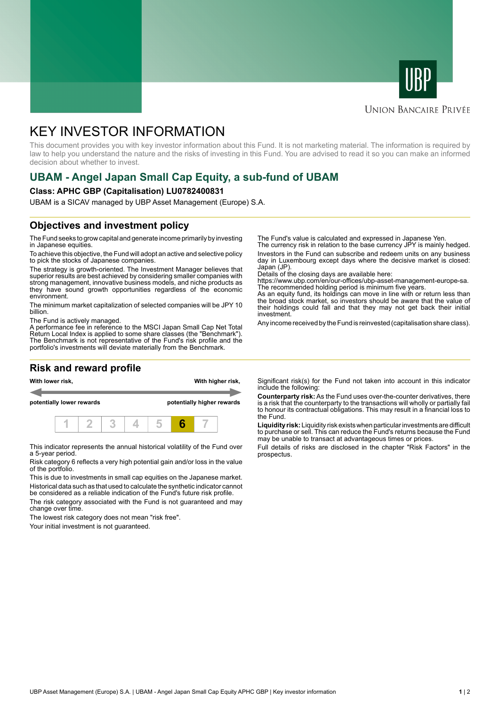



#### **UNION BANCAIRE PRIVÉE**

# KEY INVESTOR INFORMATION

This document provides you with key investor information about this Fund. It is not marketing material. The information is required by law to help you understand the nature and the risks of investing in this Fund. You are advised to read it so you can make an informed decision about whether to invest.

## **UBAM - Angel Japan Small Cap Equity, a sub-fund of UBAM**

#### **Class: APHC GBP (Capitalisation) LU0782400831**

UBAM is a SICAV managed by UBP Asset Management (Europe) S.A.

### **Objectives and investment policy**

The Fund seeks to grow capital and generate income primarily by investing in Japanese equities.

To achieve this objective, the Fund will adopt an active and selective policy to pick the stocks of Japanese companies.

The strategy is growth-oriented. The Investment Manager believes that superior results are best achieved by considering smaller companies with strong management, innovative business models, and niche products as they have sound growth opportunities regardless of the economic environment.

The minimum market capitalization of selected companies will be JPY 10 billion.

The Fund is actively managed.

A performance fee in reference to the MSCI Japan Small Cap Net Total Return Local Index is applied to some share classes (the "Benchmark"). The Benchmark is not representative of the Fund's risk profile and the portfolio's investments will deviate materially from the Benchmark.

### **Risk and reward profile**



This indicator represents the annual historical volatility of the Fund over a 5-year period.

Risk category 6 reflects a very high potential gain and/or loss in the value of the portfolio.

This is due to investments in small cap equities on the Japanese market. Historical data such as that used to calculate the synthetic indicator cannot be considered as a reliable indication of the Fund's future risk profile.

The risk category associated with the Fund is not guaranteed and may change over time.

The lowest risk category does not mean "risk free".

Your initial investment is not guaranteed.

The Fund's value is calculated and expressed in Japanese Yen.

The currency risk in relation to the base currency JPY is mainly hedged. Investors in the Fund can subscribe and redeem units on any business day in Luxembourg except days where the decisive market is closed: Japan (JP)

Details of the closing days are available here:

https://www.ubp.com/en/our-offices/ubp-asset-management-europe-sa. The recommended holding period is minimum five years.

As an equity fund, its holdings can move in line with or return less than the broad stock market, so investors should be aware that the value of their holdings could fall and that they may not get back their initial investment.

Any income received by the Fund is reinvested (capitalisation share class).

Significant risk(s) for the Fund not taken into account in this indicator include the following:

**Counterparty risk:** As the Fund uses over-the-counter derivatives, there is a risk that the counterparty to the transactions will wholly or partially fail to honour its contractual obligations. This may result in a financial loss to the Fund.

**Liquidity risk:** Liquidity risk exists when particular investments are difficult to purchase or sell. This can reduce the Fund's returns because the Fund may be unable to transact at advantageous times or prices.

Full details of risks are disclosed in the chapter "Risk Factors" in the prospectus.